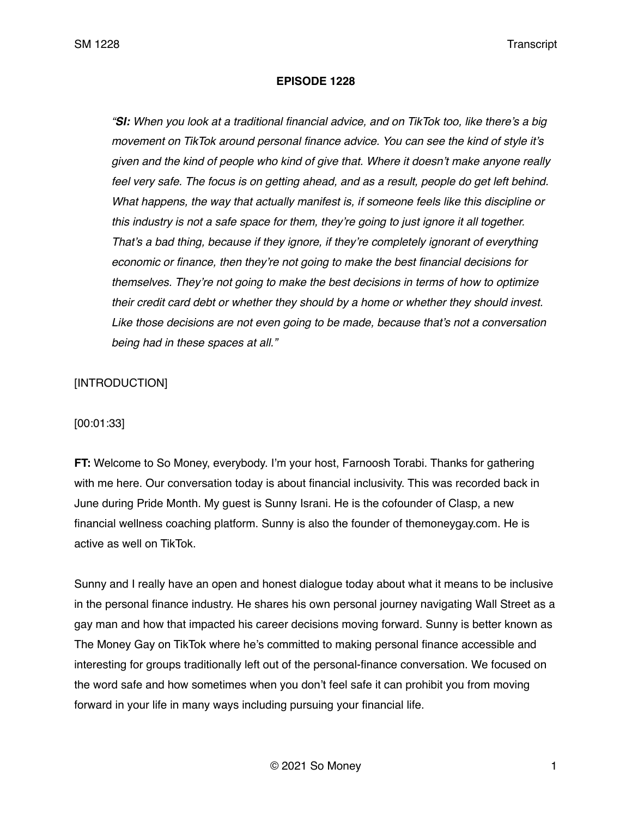#### **EPISODE 1228**

*"SI: When you look at a traditional financial advice, and on TikTok too, like there's a big movement on TikTok around personal finance advice. You can see the kind of style it's given and the kind of people who kind of give that. Where it doesn't make anyone really*  feel very safe. The focus is on getting ahead, and as a result, people do get left behind. *What happens, the way that actually manifest is, if someone feels like this discipline or this industry is not a safe space for them, they're going to just ignore it all together. That's a bad thing, because if they ignore, if they're completely ignorant of everything economic or finance, then they're not going to make the best financial decisions for themselves. They're not going to make the best decisions in terms of how to optimize their credit card debt or whether they should by a home or whether they should invest. Like those decisions are not even going to be made, because that's not a conversation being had in these spaces at all."* 

# [INTRODUCTION]

### [00:01:33]

**FT:** Welcome to So Money, everybody. I'm your host, Farnoosh Torabi. Thanks for gathering with me here. Our conversation today is about financial inclusivity. This was recorded back in June during Pride Month. My guest is Sunny Israni. He is the cofounder of Clasp, a new financial wellness coaching platform. Sunny is also the founder of themoneygay.com. He is active as well on TikTok.

Sunny and I really have an open and honest dialogue today about what it means to be inclusive in the personal finance industry. He shares his own personal journey navigating Wall Street as a gay man and how that impacted his career decisions moving forward. Sunny is better known as The Money Gay on TikTok where he's committed to making personal finance accessible and interesting for groups traditionally left out of the personal-finance conversation. We focused on the word safe and how sometimes when you don't feel safe it can prohibit you from moving forward in your life in many ways including pursuing your financial life.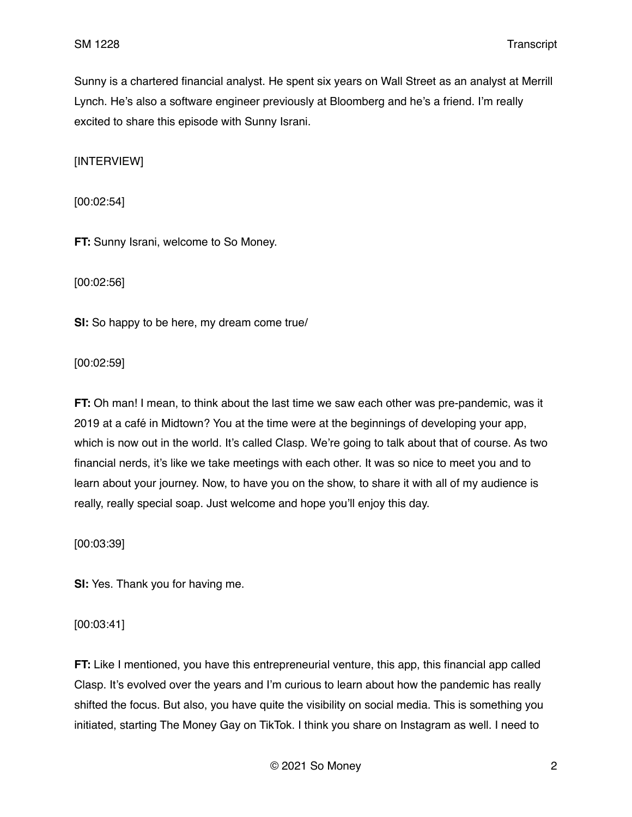Sunny is a chartered financial analyst. He spent six years on Wall Street as an analyst at Merrill Lynch. He's also a software engineer previously at Bloomberg and he's a friend. I'm really excited to share this episode with Sunny Israni.

[INTERVIEW]

[00:02:54]

**FT:** Sunny Israni, welcome to So Money.

[00:02:56]

**SI:** So happy to be here, my dream come true/

[00:02:59]

**FT:** Oh man! I mean, to think about the last time we saw each other was pre-pandemic, was it 2019 at a café in Midtown? You at the time were at the beginnings of developing your app, which is now out in the world. It's called Clasp. We're going to talk about that of course. As two financial nerds, it's like we take meetings with each other. It was so nice to meet you and to learn about your journey. Now, to have you on the show, to share it with all of my audience is really, really special soap. Just welcome and hope you'll enjoy this day.

[00:03:39]

**SI:** Yes. Thank you for having me.

[00:03:41]

**FT:** Like I mentioned, you have this entrepreneurial venture, this app, this financial app called Clasp. It's evolved over the years and I'm curious to learn about how the pandemic has really shifted the focus. But also, you have quite the visibility on social media. This is something you initiated, starting The Money Gay on TikTok. I think you share on Instagram as well. I need to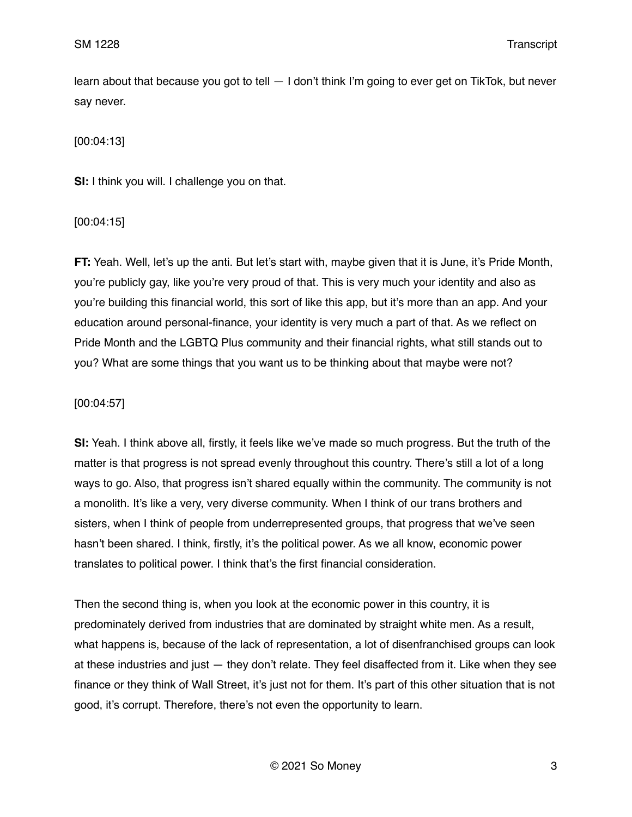learn about that because you got to tell  $-1$  don't think I'm going to ever get on TikTok, but never say never.

[00:04:13]

**SI:** I think you will. I challenge you on that.

[00:04:15]

**FT:** Yeah. Well, let's up the anti. But let's start with, maybe given that it is June, it's Pride Month, you're publicly gay, like you're very proud of that. This is very much your identity and also as you're building this financial world, this sort of like this app, but it's more than an app. And your education around personal-finance, your identity is very much a part of that. As we reflect on Pride Month and the LGBTQ Plus community and their financial rights, what still stands out to you? What are some things that you want us to be thinking about that maybe were not?

### [00:04:57]

**SI:** Yeah. I think above all, firstly, it feels like we've made so much progress. But the truth of the matter is that progress is not spread evenly throughout this country. There's still a lot of a long ways to go. Also, that progress isn't shared equally within the community. The community is not a monolith. It's like a very, very diverse community. When I think of our trans brothers and sisters, when I think of people from underrepresented groups, that progress that we've seen hasn't been shared. I think, firstly, it's the political power. As we all know, economic power translates to political power. I think that's the first financial consideration.

Then the second thing is, when you look at the economic power in this country, it is predominately derived from industries that are dominated by straight white men. As a result, what happens is, because of the lack of representation, a lot of disenfranchised groups can look at these industries and just — they don't relate. They feel disaffected from it. Like when they see finance or they think of Wall Street, it's just not for them. It's part of this other situation that is not good, it's corrupt. Therefore, there's not even the opportunity to learn.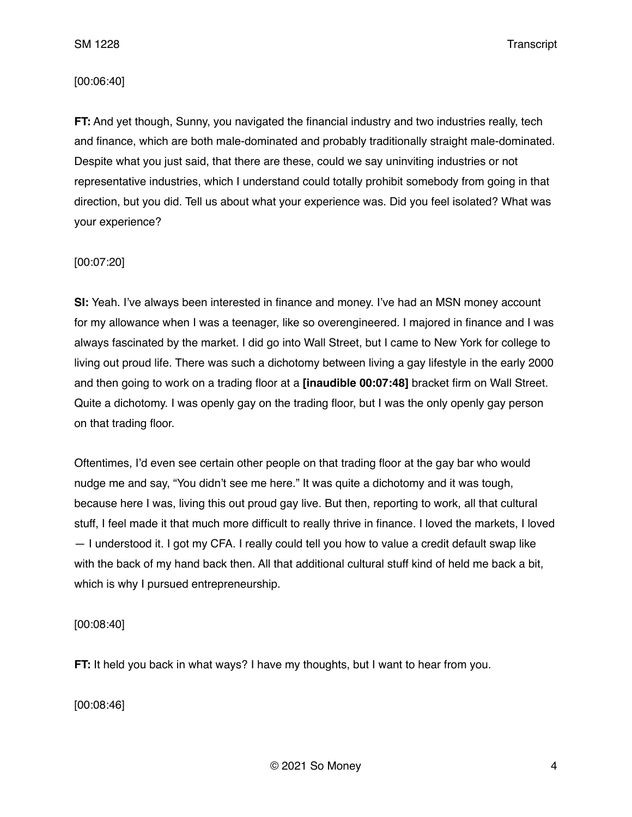### [00:06:40]

**FT:** And yet though, Sunny, you navigated the financial industry and two industries really, tech and finance, which are both male-dominated and probably traditionally straight male-dominated. Despite what you just said, that there are these, could we say uninviting industries or not representative industries, which I understand could totally prohibit somebody from going in that direction, but you did. Tell us about what your experience was. Did you feel isolated? What was your experience?

### [00:07:20]

**SI:** Yeah. I've always been interested in finance and money. I've had an MSN money account for my allowance when I was a teenager, like so overengineered. I majored in finance and I was always fascinated by the market. I did go into Wall Street, but I came to New York for college to living out proud life. There was such a dichotomy between living a gay lifestyle in the early 2000 and then going to work on a trading floor at a **[inaudible 00:07:48]** bracket firm on Wall Street. Quite a dichotomy. I was openly gay on the trading floor, but I was the only openly gay person on that trading floor.

Oftentimes, I'd even see certain other people on that trading floor at the gay bar who would nudge me and say, "You didn't see me here." It was quite a dichotomy and it was tough, because here I was, living this out proud gay live. But then, reporting to work, all that cultural stuff, I feel made it that much more difficult to really thrive in finance. I loved the markets, I loved — I understood it. I got my CFA. I really could tell you how to value a credit default swap like with the back of my hand back then. All that additional cultural stuff kind of held me back a bit, which is why I pursued entrepreneurship.

[00:08:40]

**FT:** It held you back in what ways? I have my thoughts, but I want to hear from you.

[00:08:46]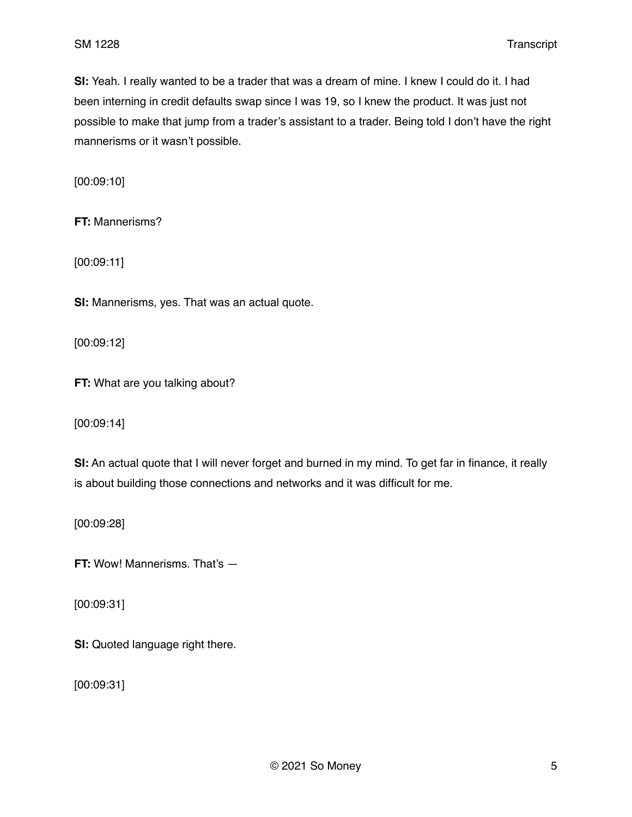**SI:** Yeah. I really wanted to be a trader that was a dream of mine. I knew I could do it. I had been interning in credit defaults swap since I was 19, so I knew the product. It was just not possible to make that jump from a trader's assistant to a trader. Being told I don't have the right mannerisms or it wasn't possible.

[00:09:10]

**FT:** Mannerisms?

[00:09:11]

**SI:** Mannerisms, yes. That was an actual quote.

[00:09:12]

**FT:** What are you talking about?

[00:09:14]

**SI:** An actual quote that I will never forget and burned in my mind. To get far in finance, it really is about building those connections and networks and it was difficult for me.

[00:09:28]

**FT:** Wow! Mannerisms. That's —

[00:09:31]

**SI:** Quoted language right there.

[00:09:31]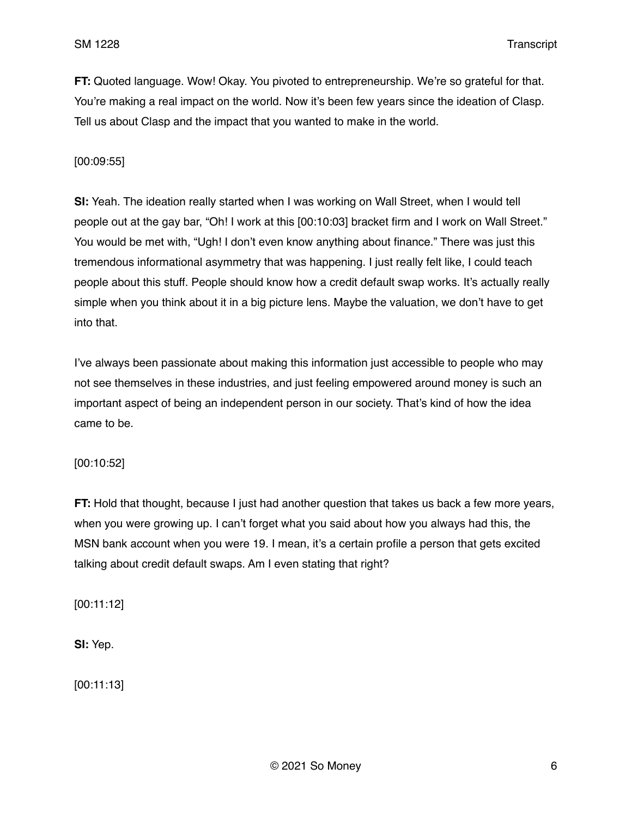**FT:** Quoted language. Wow! Okay. You pivoted to entrepreneurship. We're so grateful for that. You're making a real impact on the world. Now it's been few years since the ideation of Clasp. Tell us about Clasp and the impact that you wanted to make in the world.

## [00:09:55]

**SI:** Yeah. The ideation really started when I was working on Wall Street, when I would tell people out at the gay bar, "Oh! I work at this [00:10:03] bracket firm and I work on Wall Street." You would be met with, "Ugh! I don't even know anything about finance." There was just this tremendous informational asymmetry that was happening. I just really felt like, I could teach people about this stuff. People should know how a credit default swap works. It's actually really simple when you think about it in a big picture lens. Maybe the valuation, we don't have to get into that.

I've always been passionate about making this information just accessible to people who may not see themselves in these industries, and just feeling empowered around money is such an important aspect of being an independent person in our society. That's kind of how the idea came to be.

### [00:10:52]

**FT:** Hold that thought, because I just had another question that takes us back a few more years, when you were growing up. I can't forget what you said about how you always had this, the MSN bank account when you were 19. I mean, it's a certain profile a person that gets excited talking about credit default swaps. Am I even stating that right?

[00:11:12]

**SI:** Yep.

[00:11:13]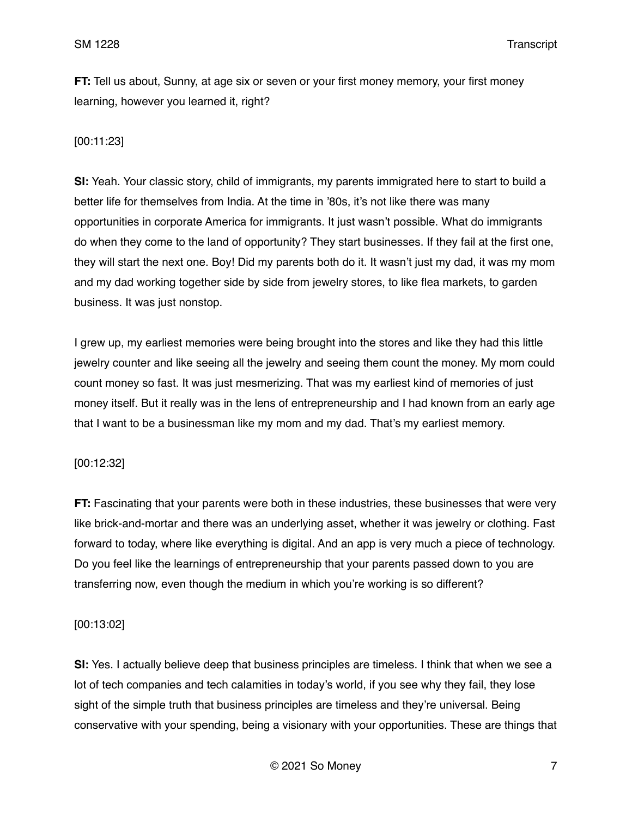**FT:** Tell us about, Sunny, at age six or seven or your first money memory, your first money learning, however you learned it, right?

# [00:11:23]

**SI:** Yeah. Your classic story, child of immigrants, my parents immigrated here to start to build a better life for themselves from India. At the time in '80s, it's not like there was many opportunities in corporate America for immigrants. It just wasn't possible. What do immigrants do when they come to the land of opportunity? They start businesses. If they fail at the first one, they will start the next one. Boy! Did my parents both do it. It wasn't just my dad, it was my mom and my dad working together side by side from jewelry stores, to like flea markets, to garden business. It was just nonstop.

I grew up, my earliest memories were being brought into the stores and like they had this little jewelry counter and like seeing all the jewelry and seeing them count the money. My mom could count money so fast. It was just mesmerizing. That was my earliest kind of memories of just money itself. But it really was in the lens of entrepreneurship and I had known from an early age that I want to be a businessman like my mom and my dad. That's my earliest memory.

### [00:12:32]

**FT:** Fascinating that your parents were both in these industries, these businesses that were very like brick-and-mortar and there was an underlying asset, whether it was jewelry or clothing. Fast forward to today, where like everything is digital. And an app is very much a piece of technology. Do you feel like the learnings of entrepreneurship that your parents passed down to you are transferring now, even though the medium in which you're working is so different?

### [00:13:02]

**SI:** Yes. I actually believe deep that business principles are timeless. I think that when we see a lot of tech companies and tech calamities in today's world, if you see why they fail, they lose sight of the simple truth that business principles are timeless and they're universal. Being conservative with your spending, being a visionary with your opportunities. These are things that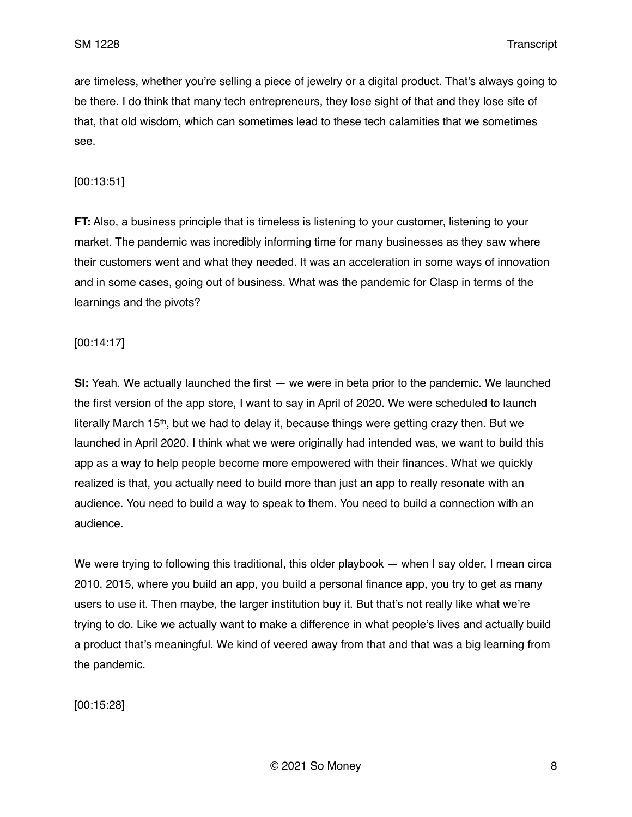are timeless, whether you're selling a piece of jewelry or a digital product. That's always going to be there. I do think that many tech entrepreneurs, they lose sight of that and they lose site of that, that old wisdom, which can sometimes lead to these tech calamities that we sometimes see.

### [00:13:51]

**FT:** Also, a business principle that is timeless is listening to your customer, listening to your market. The pandemic was incredibly informing time for many businesses as they saw where their customers went and what they needed. It was an acceleration in some ways of innovation and in some cases, going out of business. What was the pandemic for Clasp in terms of the learnings and the pivots?

#### [00:14:17]

**SI:** Yeah. We actually launched the first — we were in beta prior to the pandemic. We launched the first version of the app store, I want to say in April of 2020. We were scheduled to launch literally March 15<sup>th</sup>, but we had to delay it, because things were getting crazy then. But we launched in April 2020. I think what we were originally had intended was, we want to build this app as a way to help people become more empowered with their finances. What we quickly realized is that, you actually need to build more than just an app to really resonate with an audience. You need to build a way to speak to them. You need to build a connection with an audience.

We were trying to following this traditional, this older playbook — when I say older, I mean circa 2010, 2015, where you build an app, you build a personal finance app, you try to get as many users to use it. Then maybe, the larger institution buy it. But that's not really like what we're trying to do. Like we actually want to make a difference in what people's lives and actually build a product that's meaningful. We kind of veered away from that and that was a big learning from the pandemic.

[00:15:28]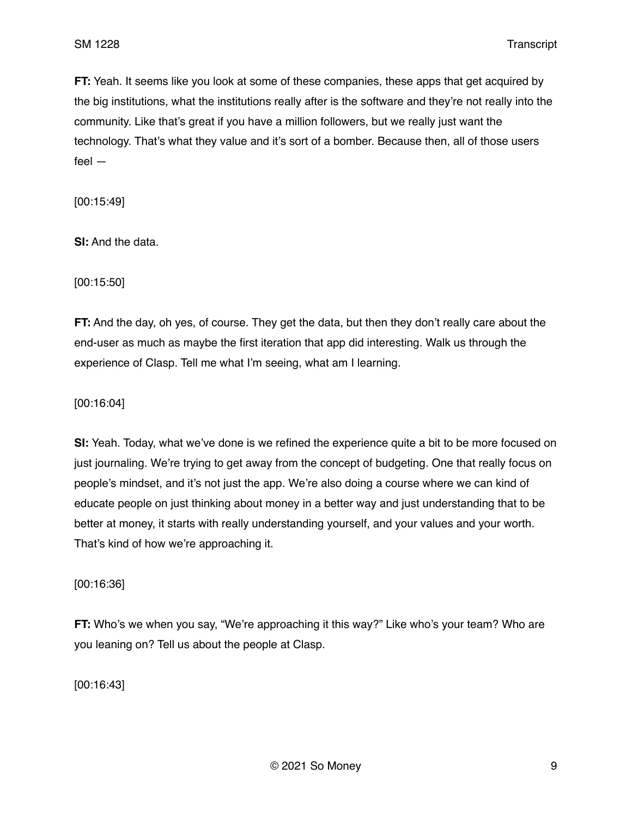**FT:** Yeah. It seems like you look at some of these companies, these apps that get acquired by the big institutions, what the institutions really after is the software and they're not really into the community. Like that's great if you have a million followers, but we really just want the technology. That's what they value and it's sort of a bomber. Because then, all of those users feel —

[00:15:49]

**SI:** And the data.

[00:15:50]

**FT:** And the day, oh yes, of course. They get the data, but then they don't really care about the end-user as much as maybe the first iteration that app did interesting. Walk us through the experience of Clasp. Tell me what I'm seeing, what am I learning.

[00:16:04]

**SI:** Yeah. Today, what we've done is we refined the experience quite a bit to be more focused on just journaling. We're trying to get away from the concept of budgeting. One that really focus on people's mindset, and it's not just the app. We're also doing a course where we can kind of educate people on just thinking about money in a better way and just understanding that to be better at money, it starts with really understanding yourself, and your values and your worth. That's kind of how we're approaching it.

[00:16:36]

**FT:** Who's we when you say, "We're approaching it this way?" Like who's your team? Who are you leaning on? Tell us about the people at Clasp.

[00:16:43]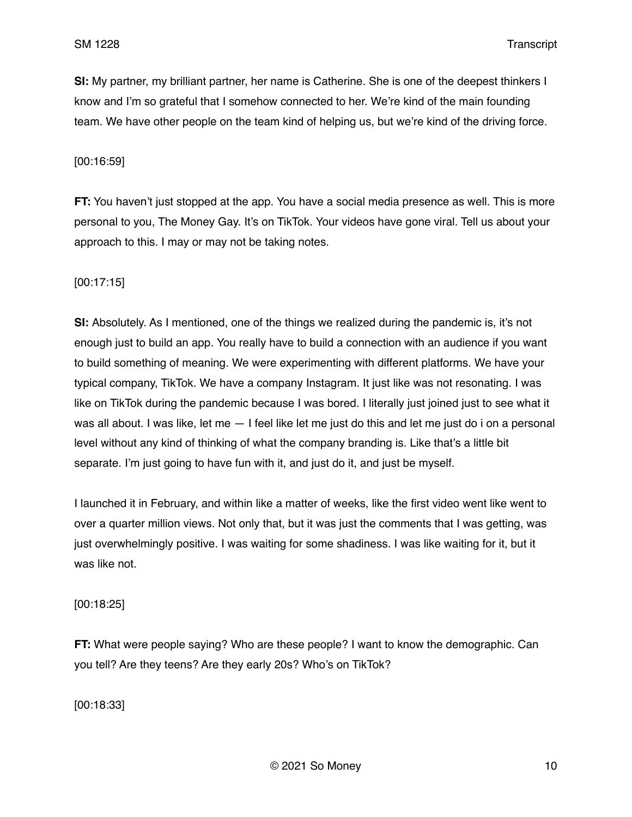**SI:** My partner, my brilliant partner, her name is Catherine. She is one of the deepest thinkers I know and I'm so grateful that I somehow connected to her. We're kind of the main founding team. We have other people on the team kind of helping us, but we're kind of the driving force.

#### [00:16:59]

**FT:** You haven't just stopped at the app. You have a social media presence as well. This is more personal to you, The Money Gay. It's on TikTok. Your videos have gone viral. Tell us about your approach to this. I may or may not be taking notes.

#### [00:17:15]

**SI:** Absolutely. As I mentioned, one of the things we realized during the pandemic is, it's not enough just to build an app. You really have to build a connection with an audience if you want to build something of meaning. We were experimenting with different platforms. We have your typical company, TikTok. We have a company Instagram. It just like was not resonating. I was like on TikTok during the pandemic because I was bored. I literally just joined just to see what it was all about. I was like, let me — I feel like let me just do this and let me just do i on a personal level without any kind of thinking of what the company branding is. Like that's a little bit separate. I'm just going to have fun with it, and just do it, and just be myself.

I launched it in February, and within like a matter of weeks, like the first video went like went to over a quarter million views. Not only that, but it was just the comments that I was getting, was just overwhelmingly positive. I was waiting for some shadiness. I was like waiting for it, but it was like not.

[00:18:25]

**FT:** What were people saying? Who are these people? I want to know the demographic. Can you tell? Are they teens? Are they early 20s? Who's on TikTok?

[00:18:33]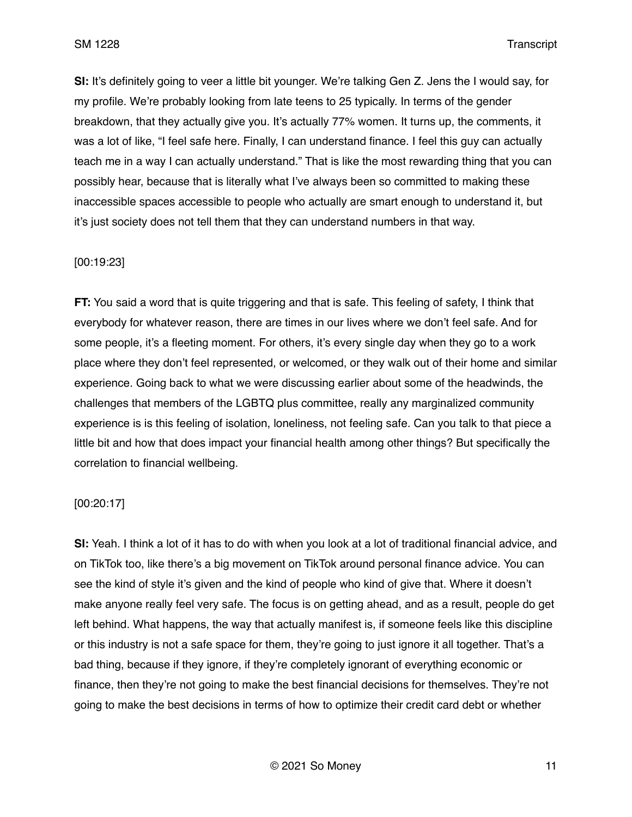**SI:** It's definitely going to veer a little bit younger. We're talking Gen Z. Jens the I would say, for my profile. We're probably looking from late teens to 25 typically. In terms of the gender breakdown, that they actually give you. It's actually 77% women. It turns up, the comments, it was a lot of like, "I feel safe here. Finally, I can understand finance. I feel this guy can actually teach me in a way I can actually understand." That is like the most rewarding thing that you can possibly hear, because that is literally what I've always been so committed to making these inaccessible spaces accessible to people who actually are smart enough to understand it, but it's just society does not tell them that they can understand numbers in that way.

#### [00:19:23]

**FT:** You said a word that is quite triggering and that is safe. This feeling of safety, I think that everybody for whatever reason, there are times in our lives where we don't feel safe. And for some people, it's a fleeting moment. For others, it's every single day when they go to a work place where they don't feel represented, or welcomed, or they walk out of their home and similar experience. Going back to what we were discussing earlier about some of the headwinds, the challenges that members of the LGBTQ plus committee, really any marginalized community experience is is this feeling of isolation, loneliness, not feeling safe. Can you talk to that piece a little bit and how that does impact your financial health among other things? But specifically the correlation to financial wellbeing.

### [00:20:17]

**SI:** Yeah. I think a lot of it has to do with when you look at a lot of traditional financial advice, and on TikTok too, like there's a big movement on TikTok around personal finance advice. You can see the kind of style it's given and the kind of people who kind of give that. Where it doesn't make anyone really feel very safe. The focus is on getting ahead, and as a result, people do get left behind. What happens, the way that actually manifest is, if someone feels like this discipline or this industry is not a safe space for them, they're going to just ignore it all together. That's a bad thing, because if they ignore, if they're completely ignorant of everything economic or finance, then they're not going to make the best financial decisions for themselves. They're not going to make the best decisions in terms of how to optimize their credit card debt or whether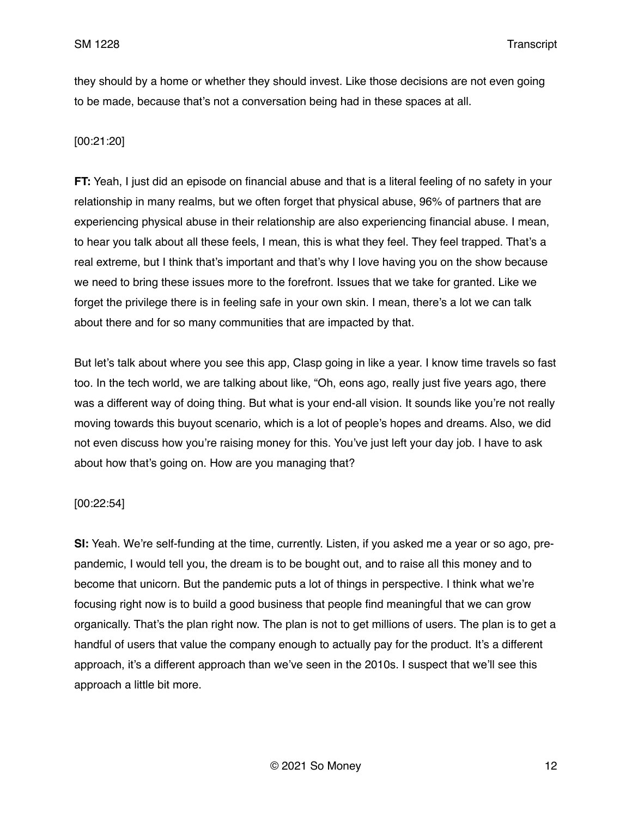they should by a home or whether they should invest. Like those decisions are not even going to be made, because that's not a conversation being had in these spaces at all.

# [00:21:20]

**FT:** Yeah, I just did an episode on financial abuse and that is a literal feeling of no safety in your relationship in many realms, but we often forget that physical abuse, 96% of partners that are experiencing physical abuse in their relationship are also experiencing financial abuse. I mean, to hear you talk about all these feels, I mean, this is what they feel. They feel trapped. That's a real extreme, but I think that's important and that's why I love having you on the show because we need to bring these issues more to the forefront. Issues that we take for granted. Like we forget the privilege there is in feeling safe in your own skin. I mean, there's a lot we can talk about there and for so many communities that are impacted by that.

But let's talk about where you see this app, Clasp going in like a year. I know time travels so fast too. In the tech world, we are talking about like, "Oh, eons ago, really just five years ago, there was a different way of doing thing. But what is your end-all vision. It sounds like you're not really moving towards this buyout scenario, which is a lot of people's hopes and dreams. Also, we did not even discuss how you're raising money for this. You've just left your day job. I have to ask about how that's going on. How are you managing that?

### [00:22:54]

**SI:** Yeah. We're self-funding at the time, currently. Listen, if you asked me a year or so ago, prepandemic, I would tell you, the dream is to be bought out, and to raise all this money and to become that unicorn. But the pandemic puts a lot of things in perspective. I think what we're focusing right now is to build a good business that people find meaningful that we can grow organically. That's the plan right now. The plan is not to get millions of users. The plan is to get a handful of users that value the company enough to actually pay for the product. It's a different approach, it's a different approach than we've seen in the 2010s. I suspect that we'll see this approach a little bit more.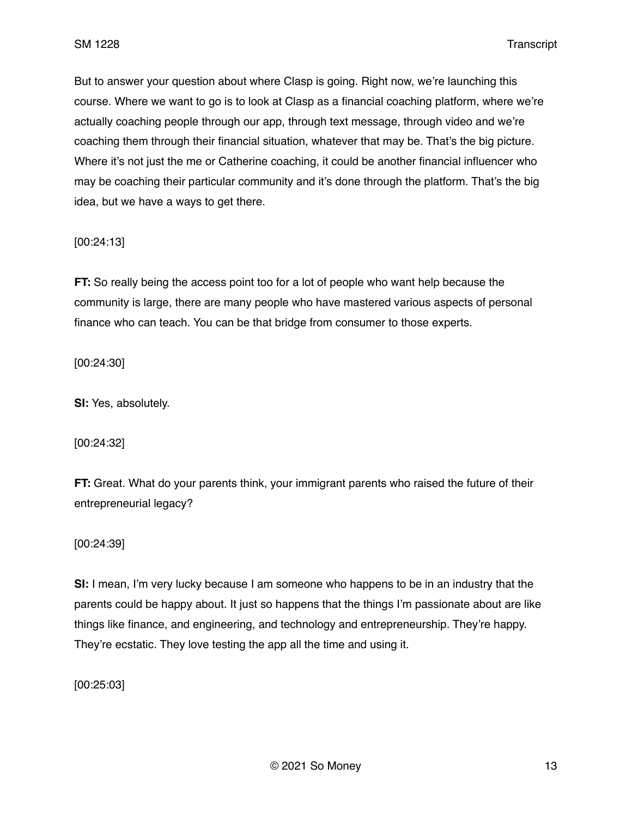But to answer your question about where Clasp is going. Right now, we're launching this course. Where we want to go is to look at Clasp as a financial coaching platform, where we're actually coaching people through our app, through text message, through video and we're coaching them through their financial situation, whatever that may be. That's the big picture. Where it's not just the me or Catherine coaching, it could be another financial influencer who may be coaching their particular community and it's done through the platform. That's the big idea, but we have a ways to get there.

[00:24:13]

**FT:** So really being the access point too for a lot of people who want help because the community is large, there are many people who have mastered various aspects of personal finance who can teach. You can be that bridge from consumer to those experts.

[00:24:30]

**SI:** Yes, absolutely.

[00:24:32]

**FT:** Great. What do your parents think, your immigrant parents who raised the future of their entrepreneurial legacy?

[00:24:39]

**SI:** I mean, I'm very lucky because I am someone who happens to be in an industry that the parents could be happy about. It just so happens that the things I'm passionate about are like things like finance, and engineering, and technology and entrepreneurship. They're happy. They're ecstatic. They love testing the app all the time and using it.

[00:25:03]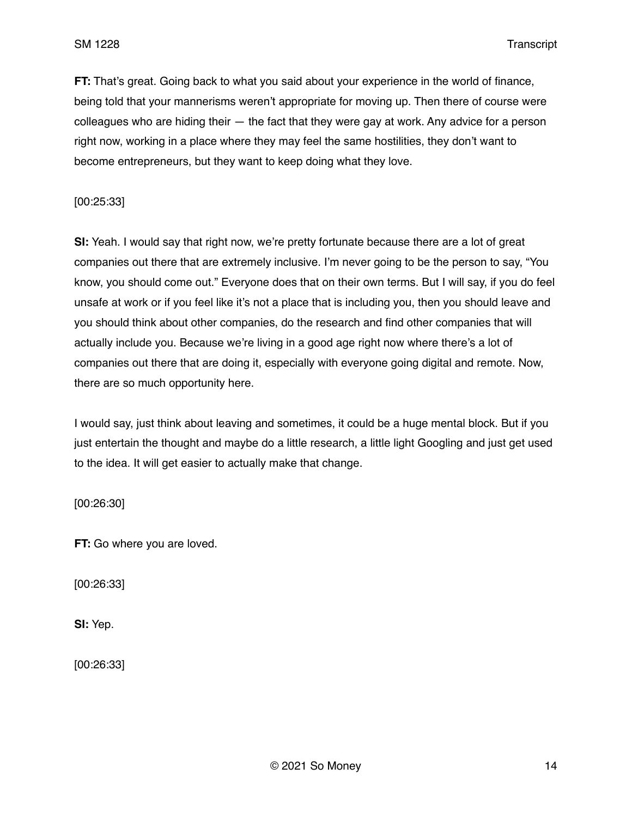**FT:** That's great. Going back to what you said about your experience in the world of finance, being told that your mannerisms weren't appropriate for moving up. Then there of course were colleagues who are hiding their — the fact that they were gay at work. Any advice for a person right now, working in a place where they may feel the same hostilities, they don't want to become entrepreneurs, but they want to keep doing what they love.

[00:25:33]

**SI:** Yeah. I would say that right now, we're pretty fortunate because there are a lot of great companies out there that are extremely inclusive. I'm never going to be the person to say, "You know, you should come out." Everyone does that on their own terms. But I will say, if you do feel unsafe at work or if you feel like it's not a place that is including you, then you should leave and you should think about other companies, do the research and find other companies that will actually include you. Because we're living in a good age right now where there's a lot of companies out there that are doing it, especially with everyone going digital and remote. Now, there are so much opportunity here.

I would say, just think about leaving and sometimes, it could be a huge mental block. But if you just entertain the thought and maybe do a little research, a little light Googling and just get used to the idea. It will get easier to actually make that change.

[00:26:30]

**FT:** Go where you are loved.

[00:26:33]

**SI:** Yep.

[00:26:33]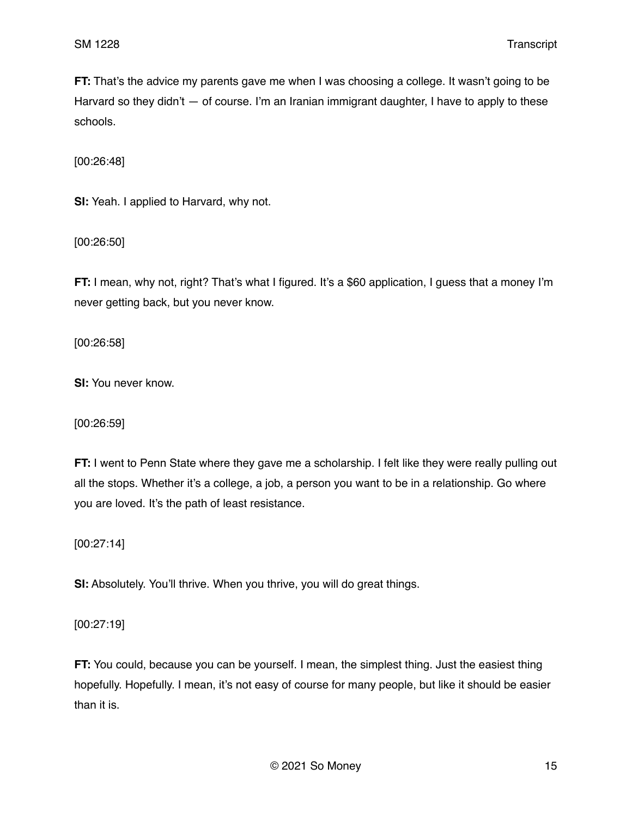**FT:** That's the advice my parents gave me when I was choosing a college. It wasn't going to be Harvard so they didn't  $-$  of course. I'm an Iranian immigrant daughter, I have to apply to these schools.

[00:26:48]

**SI:** Yeah. I applied to Harvard, why not.

[00:26:50]

**FT:** I mean, why not, right? That's what I figured. It's a \$60 application, I guess that a money I'm never getting back, but you never know.

[00:26:58]

**SI:** You never know.

[00:26:59]

**FT:** I went to Penn State where they gave me a scholarship. I felt like they were really pulling out all the stops. Whether it's a college, a job, a person you want to be in a relationship. Go where you are loved. It's the path of least resistance.

[00:27:14]

**SI:** Absolutely. You'll thrive. When you thrive, you will do great things.

[00:27:19]

**FT:** You could, because you can be yourself. I mean, the simplest thing. Just the easiest thing hopefully. Hopefully. I mean, it's not easy of course for many people, but like it should be easier than it is.